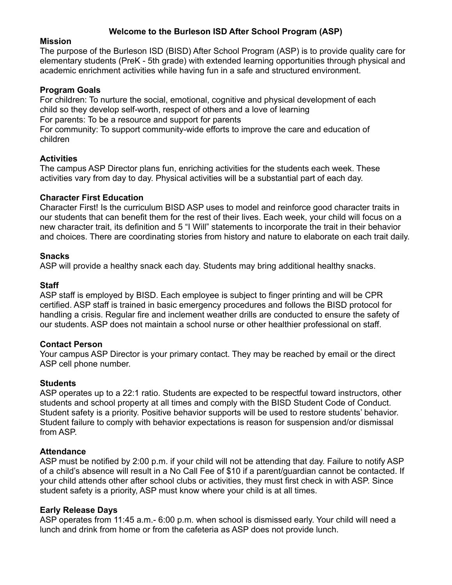# **Welcome to the Burleson ISD After School Program (ASP)**

# **Mission**

The purpose of the Burleson ISD (BISD) After School Program (ASP) is to provide quality care for elementary students (PreK - 5th grade) with extended learning opportunities through physical and academic enrichment activities while having fun in a safe and structured environment.

# **Program Goals**

For children: To nurture the social, emotional, cognitive and physical development of each child so they develop self-worth, respect of others and a love of learning For parents: To be a resource and support for parents

For community: To support community-wide efforts to improve the care and education of children

# **Activities**

The campus ASP Director plans fun, enriching activities for the students each week. These activities vary from day to day. Physical activities will be a substantial part of each day.

#### **Character First Education**

Character First! Is the curriculum BISD ASP uses to model and reinforce good character traits in our students that can benefit them for the rest of their lives. Each week, your child will focus on a new character trait, its definition and 5 "I Will" statements to incorporate the trait in their behavior and choices. There are coordinating stories from history and nature to elaborate on each trait daily.

#### **Snacks**

ASP will provide a healthy snack each day. Students may bring additional healthy snacks.

#### **Staff**

ASP staff is employed by BISD. Each employee is subject to finger printing and will be CPR certified. ASP staff is trained in basic emergency procedures and follows the BISD protocol for handling a crisis. Regular fire and inclement weather drills are conducted to ensure the safety of our students. ASP does not maintain a school nurse or other healthier professional on staff.

#### **Contact Person**

Your campus ASP Director is your primary contact. They may be reached by email or the direct ASP cell phone number.

#### **Students**

ASP operates up to a 22:1 ratio. Students are expected to be respectful toward instructors, other students and school property at all times and comply with the BISD Student Code of Conduct. Student safety is a priority. Positive behavior supports will be used to restore students' behavior. Student failure to comply with behavior expectations is reason for suspension and/or dismissal from ASP.

#### **Attendance**

ASP must be notified by 2:00 p.m. if your child will not be attending that day. Failure to notify ASP of a child's absence will result in a No Call Fee of \$10 if a parent/guardian cannot be contacted. If your child attends other after school clubs or activities, they must first check in with ASP. Since student safety is a priority, ASP must know where your child is at all times.

#### **Early Release Days**

ASP operates from 11:45 a.m.- 6:00 p.m. when school is dismissed early. Your child will need a lunch and drink from home or from the cafeteria as ASP does not provide lunch.